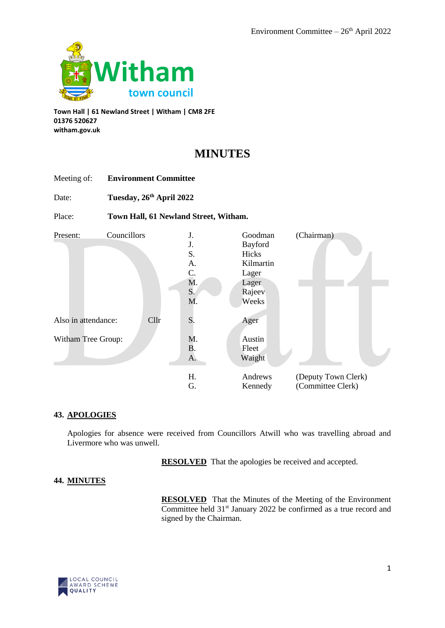

**Town Hall | 61 Newland Street | Witham | CM8 2FE 01376 520627 witham.gov.uk**

Meeting of: **Environment Committee**

# **MINUTES**

| Date:                           | Tuesday, 26th April 2022 |                                       |                                                    |                                                                                       |                                          |  |
|---------------------------------|--------------------------|---------------------------------------|----------------------------------------------------|---------------------------------------------------------------------------------------|------------------------------------------|--|
| Place:                          |                          | Town Hall, 61 Newland Street, Witham. |                                                    |                                                                                       |                                          |  |
| Present:<br>Also in attendance: | Councillors              | Cllr                                  | J.<br>J.<br>S.<br>A.<br>C.<br>M.<br>S.<br>M.<br>S. | Goodman<br>Bayford<br>Hicks<br>Kilmartin<br>Lager<br>Lager<br>Rajeev<br>Weeks<br>Ager | (Chairman)                               |  |
| Witham Tree Group:              |                          |                                       | M.<br><b>B.</b><br>A.                              | Austin<br>Fleet<br>Waight                                                             |                                          |  |
|                                 |                          |                                       | Η.<br>G.                                           | Andrews<br>Kennedy                                                                    | (Deputy Town Clerk)<br>(Committee Clerk) |  |

## **43. APOLOGIES**

Apologies for absence were received from Councillors Atwill who was travelling abroad and Livermore who was unwell.

**RESOLVED** That the apologies be received and accepted.

### **44. MINUTES**

**RESOLVED** That the Minutes of the Meeting of the Environment Committee held 31<sup>st</sup> January 2022 be confirmed as a true record and signed by the Chairman.

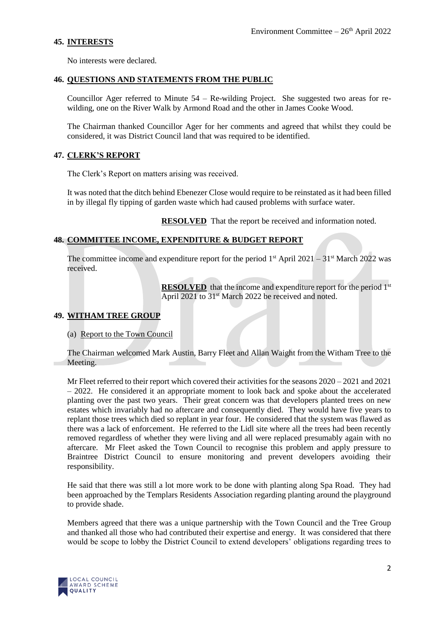## **45. INTERESTS**

No interests were declared.

### **46. QUESTIONS AND STATEMENTS FROM THE PUBLIC**

Councillor Ager referred to Minute 54 – Re-wilding Project. She suggested two areas for rewilding, one on the River Walk by Armond Road and the other in James Cooke Wood.

The Chairman thanked Councillor Ager for her comments and agreed that whilst they could be considered, it was District Council land that was required to be identified.

## **47. CLERK'S REPORT**

The Clerk's Report on matters arising was received.

It was noted that the ditch behind Ebenezer Close would require to be reinstated as it had been filled in by illegal fly tipping of garden waste which had caused problems with surface water.

**RESOLVED** That the report be received and information noted.

## **48. COMMITTEE INCOME, EXPENDITURE & BUDGET REPORT**

The committee income and expenditure report for the period  $1^{st}$  April 2021 – 31<sup>st</sup> March 2022 was received.

> **RESOLVED** that the income and expenditure report for the period 1<sup>st</sup> April 2021 to 31<sup>st</sup> March 2022 be received and noted.

## **49. WITHAM TREE GROUP**

(a) Report to the Town Council

The Chairman welcomed Mark Austin, Barry Fleet and Allan Waight from the Witham Tree to the Meeting.

Mr Fleet referred to their report which covered their activities for the seasons 2020 – 2021 and 2021 – 2022. He considered it an appropriate moment to look back and spoke about the accelerated planting over the past two years. Their great concern was that developers planted trees on new estates which invariably had no aftercare and consequently died. They would have five years to replant those trees which died so replant in year four. He considered that the system was flawed as there was a lack of enforcement. He referred to the Lidl site where all the trees had been recently removed regardless of whether they were living and all were replaced presumably again with no aftercare. Mr Fleet asked the Town Council to recognise this problem and apply pressure to Braintree District Council to ensure monitoring and prevent developers avoiding their responsibility.

He said that there was still a lot more work to be done with planting along Spa Road. They had been approached by the Templars Residents Association regarding planting around the playground to provide shade.

Members agreed that there was a unique partnership with the Town Council and the Tree Group and thanked all those who had contributed their expertise and energy. It was considered that there would be scope to lobby the District Council to extend developers' obligations regarding trees to

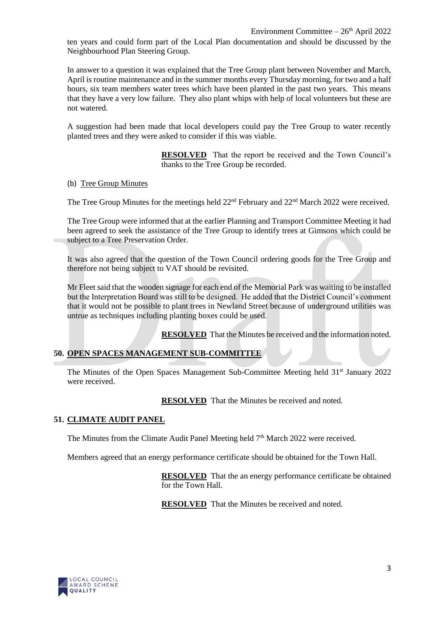ten years and could form part of the Local Plan documentation and should be discussed by the Neighbourhood Plan Steering Group.

In answer to a question it was explained that the Tree Group plant between November and March, April is routine maintenance and in the summer months every Thursday morning, for two and a half hours, six team members water trees which have been planted in the past two years. This means that they have a very low failure. They also plant whips with help of local volunteers but these are not watered.

A suggestion had been made that local developers could pay the Tree Group to water recently planted trees and they were asked to consider if this was viable.

> **RESOLVED** That the report be received and the Town Council's thanks to the Tree Group be recorded.

(b) Tree Group Minutes

The Tree Group Minutes for the meetings held  $22<sup>nd</sup>$  February and  $22<sup>nd</sup>$  March 2022 were received.

The Tree Group were informed that at the earlier Planning and Transport Committee Meeting it had been agreed to seek the assistance of the Tree Group to identify trees at Gimsons which could be subject to a Tree Preservation Order.

It was also agreed that the question of the Town Council ordering goods for the Tree Group and therefore not being subject to VAT should be revisited.

Mr Fleet said that the wooden signage for each end of the Memorial Park was waiting to be installed but the Interpretation Board was still to be designed. He added that the District Council's comment that it would not be possible to plant trees in Newland Street because of underground utilities was untrue as techniques including planting boxes could be used.

**RESOLVED** That the Minutes be received and the information noted.

### **50. OPEN SPACES MANAGEMENT SUB-COMMITTEE**

The Minutes of the Open Spaces Management Sub-Committee Meeting held 31<sup>st</sup> January 2022 were received.

**RESOLVED** That the Minutes be received and noted.

### **51. CLIMATE AUDIT PANEL**

The Minutes from the Climate Audit Panel Meeting held  $7<sup>th</sup>$  March 2022 were received.

Members agreed that an energy performance certificate should be obtained for the Town Hall.

**RESOLVED** That the an energy performance certificate be obtained for the Town Hall.

**RESOLVED** That the Minutes be received and noted.

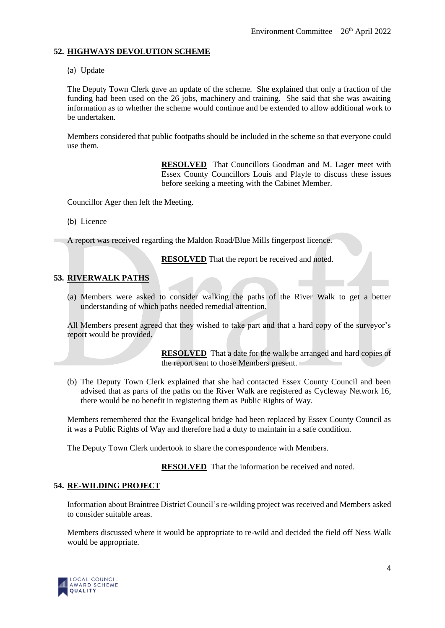#### **52. HIGHWAYS DEVOLUTION SCHEME**

(a) Update

The Deputy Town Clerk gave an update of the scheme. She explained that only a fraction of the funding had been used on the 26 jobs, machinery and training. She said that she was awaiting information as to whether the scheme would continue and be extended to allow additional work to be undertaken.

Members considered that public footpaths should be included in the scheme so that everyone could use them.

> **RESOLVED** That Councillors Goodman and M. Lager meet with Essex County Councillors Louis and Playle to discuss these issues before seeking a meeting with the Cabinet Member.

Councillor Ager then left the Meeting.

(b) Licence

A report was received regarding the Maldon Road/Blue Mills fingerpost licence.

**RESOLVED** That the report be received and noted.

### **53. RIVERWALK PATHS**

(a) Members were asked to consider walking the paths of the River Walk to get a better understanding of which paths needed remedial attention.

All Members present agreed that they wished to take part and that a hard copy of the surveyor's report would be provided.

> **RESOLVED** That a date for the walk be arranged and hard copies of the report sent to those Members present.

(b) The Deputy Town Clerk explained that she had contacted Essex County Council and been advised that as parts of the paths on the River Walk are registered as Cycleway Network 16, there would be no benefit in registering them as Public Rights of Way.

Members remembered that the Evangelical bridge had been replaced by Essex County Council as it was a Public Rights of Way and therefore had a duty to maintain in a safe condition.

The Deputy Town Clerk undertook to share the correspondence with Members.

**RESOLVED** That the information be received and noted.

#### **54. RE-WILDING PROJECT**

Information about Braintree District Council's re-wilding project was received and Members asked to consider suitable areas.

Members discussed where it would be appropriate to re-wild and decided the field off Ness Walk would be appropriate.